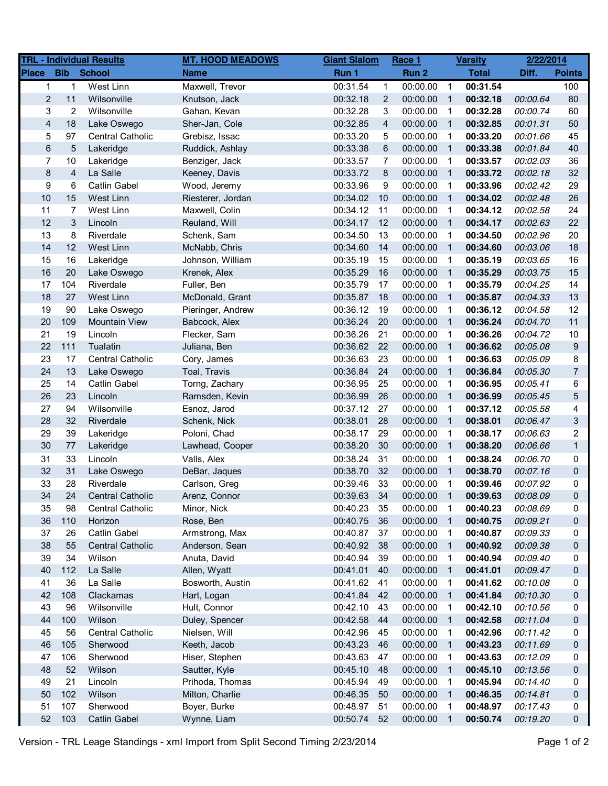|                         |                | <b>TRL - Individual Results</b> | <b>MT. HOOD MEADOWS</b> | <b>Giant Slalom</b> |              | Race 1   |                         | <b>Varsity</b> | 2/22/2014 |                |
|-------------------------|----------------|---------------------------------|-------------------------|---------------------|--------------|----------|-------------------------|----------------|-----------|----------------|
| <b>Place</b>            | <b>Bib</b>     | <b>School</b>                   | <b>Name</b>             | Run 1               |              | Run 2    |                         | <b>Total</b>   | Diff.     | <b>Points</b>  |
| 1                       | $\mathbf{1}$   | <b>West Linn</b>                | Maxwell, Trevor         | 00:31.54            | $\mathbf{1}$ | 00:00.00 | $\overline{1}$          | 00:31.54       |           | 100            |
| $\overline{c}$          | 11             | Wilsonville                     | Knutson, Jack           | 00:32.18            | 2            | 00:00.00 | $\overline{1}$          | 00:32.18       | 00:00.64  | 80             |
| 3                       | 2              | Wilsonville                     | Gahan, Kevan            | 00:32.28            | 3            | 00:00.00 | $\overline{1}$          | 00:32.28       | 00:00.74  | 60             |
| $\overline{\mathbf{4}}$ | 18             | Lake Oswego                     | Sher-Jan, Cole          | 00:32.85            | 4            | 00:00.00 | $\overline{1}$          | 00:32.85       | 00:01.31  | 50             |
| 5                       | 97             | <b>Central Catholic</b>         | Grebisz, Issac          | 00:33.20            | 5            | 00:00.00 | -1                      | 00:33.20       | 00:01.66  | 45             |
| $\,6$                   | 5              | Lakeridge                       | Ruddick, Ashlay         | 00:33.38            | $\,6$        | 00:00.00 | $\overline{1}$          | 00:33.38       | 00:01.84  | 40             |
| 7                       | $10$           | Lakeridge                       | Benziger, Jack          | 00:33.57            | 7            | 00:00.00 | $\overline{1}$          | 00:33.57       | 00:02.03  | 36             |
| 8                       | 4              | La Salle                        | Keeney, Davis           | 00:33.72            | 8            | 00:00.00 | -1                      | 00:33.72       | 00:02.18  | 32             |
| 9                       | 6              | <b>Catlin Gabel</b>             | Wood, Jeremy            | 00:33.96            | 9            | 00:00.00 | $\overline{1}$          | 00:33.96       | 00:02.42  | 29             |
| 10                      | 15             | West Linn                       | Riesterer, Jordan       | 00:34.02            | 10           | 00:00.00 | $\overline{1}$          | 00:34.02       | 00:02.48  | 26             |
| 11                      | $\overline{7}$ | West Linn                       | Maxwell, Colin          | 00:34.12            | 11           | 00:00.00 | $\overline{1}$          | 00:34.12       | 00:02.58  | 24             |
| 12                      | 3              | Lincoln                         | Reuland, Will           | 00:34.17            | 12           | 00:00.00 | $\overline{1}$          | 00:34.17       | 00:02.63  | 22             |
| 13                      | 8              | Riverdale                       | Schenk, Sam             | 00:34.50            | 13           | 00:00.00 | $\overline{1}$          | 00:34.50       | 00:02.96  | 20             |
| 14                      | 12             | West Linn                       | McNabb, Chris           | 00:34.60            | 14           | 00:00.00 | $\overline{1}$          | 00:34.60       | 00:03.06  | 18             |
| 15                      | 16             | Lakeridge                       | Johnson, William        | 00:35.19            | 15           | 00:00.00 | $\overline{1}$          | 00:35.19       | 00:03.65  | 16             |
| 16                      | 20             | Lake Oswego                     | Krenek, Alex            | 00:35.29            | 16           | 00:00.00 | $\overline{1}$          | 00:35.29       | 00:03.75  | 15             |
| 17                      | 104            | Riverdale                       | Fuller, Ben             | 00:35.79            | 17           | 00:00.00 | $\overline{1}$          | 00:35.79       | 00:04.25  | 14             |
| 18                      | 27             | West Linn                       | McDonald, Grant         | 00:35.87            | 18           | 00:00.00 | $\overline{1}$          | 00:35.87       | 00:04.33  | 13             |
| 19                      | 90             | Lake Oswego                     | Pieringer, Andrew       | 00:36.12            | 19           | 00:00.00 | $\overline{1}$          | 00:36.12       | 00:04.58  | 12             |
| 20                      | 109            | <b>Mountain View</b>            | Babcock, Alex           | 00:36.24            | 20           | 00:00.00 | $\overline{1}$          | 00:36.24       | 00:04.70  | 11             |
| 21                      | 19             | Lincoln                         | Flecker, Sam            | 00:36.26            | 21           | 00:00.00 | $\overline{1}$          | 00:36.26       | 00:04.72  | 10             |
| 22                      | 111            | Tualatin                        | Juliana, Ben            | 00:36.62            | 22           | 00:00.00 | $\overline{1}$          | 00:36.62       | 00:05.08  | 9              |
| 23                      | 17             | <b>Central Catholic</b>         | Cory, James             | 00:36.63            | 23           | 00:00.00 | $\overline{1}$          | 00:36.63       | 00:05.09  | 8              |
| 24                      | 13             | Lake Oswego                     | Toal, Travis            | 00:36.84            | 24           | 00:00.00 | -1                      | 00:36.84       | 00:05.30  | $\overline{7}$ |
| 25                      | 14             | Catlin Gabel                    | Torng, Zachary          | 00:36.95            | 25           | 00:00.00 | $\overline{1}$          | 00:36.95       | 00:05.41  | 6              |
| 26                      | 23             | Lincoln                         | Ramsden, Kevin          | 00:36.99            | 26           | 00:00.00 | $\overline{1}$          | 00:36.99       | 00:05.45  | 5              |
| 27                      | 94             | Wilsonville                     | Esnoz, Jarod            | 00:37.12            | 27           | 00:00.00 | $\overline{1}$          | 00:37.12       | 00:05.58  | 4              |
| 28                      | 32             | Riverdale                       | Schenk, Nick            | 00:38.01            | 28           | 00:00.00 | $\overline{1}$          | 00:38.01       | 00:06.47  | 3              |
| 29                      | 39             | Lakeridge                       | Poloni, Chad            | 00:38.17            | 29           | 00:00.00 | $\overline{1}$          | 00:38.17       | 00:06.63  | 2              |
| 30                      | 77             | Lakeridge                       | Lawhead, Cooper         | 00:38.20            | 30           | 00:00.00 | $\overline{1}$          | 00:38.20       | 00:06.66  | $\mathbf{1}$   |
| 31                      | 33             | Lincoln                         | Valls, Alex             | 00:38.24            | 31           | 00:00.00 | $\overline{1}$          | 00:38.24       | 00:06.70  | 0              |
| 32                      | 31             | Lake Oswego                     | DeBar, Jaques           | 00:38.70            | 32           | 00:00.00 | -1                      | 00:38.70       | 00:07.16  | 0              |
| 33                      | 28             | Riverdale                       | Carlson, Greg           | 00:39.46            | 33           | 00:00.00 | $\overline{1}$          | 00:39.46       | 00:07.92  | 0              |
| 34                      | 24             | <b>Central Catholic</b>         | Arenz, Connor           | 00:39.63            | 34           | 00:00.00 | $\mathbf 1$             | 00:39.63       | 00:08.09  | $\Omega$       |
| 35                      | 98             | Central Catholic                | Minor, Nick             | 00:40.23            | 35           | 00:00.00 | $\overline{1}$          | 00:40.23       | 00:08.69  | 0              |
| 36                      | 110            | Horizon                         | Rose, Ben               | 00:40.75            | 36           | 00:00.00 | $\overline{1}$          | 00:40.75       | 00:09.21  | 0              |
| 37                      | 26             | <b>Catlin Gabel</b>             | Armstrong, Max          | 00:40.87            | 37           | 00:00.00 | $\overline{1}$          | 00:40.87       | 00:09.33  | 0              |
| 38                      | 55             | <b>Central Catholic</b>         | Anderson, Sean          | 00:40.92            | 38           | 00:00.00 | $\overline{1}$          | 00:40.92       | 00:09.38  | 0              |
| 39                      | 34             | Wilson                          | Anuta, David            | 00:40.94            | 39           | 00:00.00 | $\overline{1}$          | 00:40.94       | 00:09.40  | 0              |
| 40                      | 112            | La Salle                        | Allen, Wyatt            | 00:41.01            | 40           | 00:00.00 | $\overline{1}$          | 00:41.01       | 00:09.47  | 0              |
| 41                      | 36             | La Salle                        | Bosworth, Austin        | 00:41.62            | 41           | 00:00.00 | -1                      | 00:41.62       | 00:10.08  | 0              |
| 42                      | 108            | Clackamas                       | Hart, Logan             | 00:41.84            | 42           | 00:00.00 | $\overline{\mathbf{1}}$ | 00:41.84       | 00:10.30  | 0              |
| 43                      | 96             | Wilsonville                     | Hult, Connor            | 00:42.10            | 43           | 00:00.00 | -1                      | 00:42.10       | 00:10.56  | 0              |
| 44                      | 100            | Wilson                          | Duley, Spencer          | 00:42.58            | 44           | 00:00.00 | -1                      | 00:42.58       | 00:11.04  | 0              |
| 45                      | 56             | <b>Central Catholic</b>         | Nielsen, Will           | 00:42.96            | 45           | 00:00.00 | -1                      | 00:42.96       | 00:11.42  | 0              |
| 46                      | 105            | Sherwood                        | Keeth, Jacob            | 00:43.23            | 46           | 00:00.00 | $\overline{\mathbf{1}}$ | 00:43.23       | 00:11.69  | 0              |
| 47                      | 106            | Sherwood                        | Hiser, Stephen          | 00:43.63            | 47           | 00:00.00 | $\overline{\mathbf{1}}$ | 00:43.63       | 00:12.09  | 0              |
| 48                      | 52             | Wilson                          | Sautter, Kyle           | 00:45.10            | 48           | 00:00.00 | $\overline{1}$          | 00:45.10       | 00:13.56  | 0              |
| 49                      | 21             | Lincoln                         | Prihoda, Thomas         | 00:45.94            | 49           | 00:00.00 | $\mathbf{1}$            | 00:45.94       | 00:14.40  | 0              |
| 50                      | 102            | Wilson                          | Milton, Charlie         | 00:46.35            | 50           | 00:00.00 | $\overline{1}$          | 00:46.35       | 00:14.81  | 0              |
| 51                      | 107            | Sherwood                        | Boyer, Burke            | 00:48.97            | 51           | 00:00.00 | $\overline{1}$          | 00:48.97       | 00:17.43  | 0              |
| 52                      | 103            | Catlin Gabel                    | Wynne, Liam             | 00:50.74            | 52           | 00:00.00 | $\overline{1}$          | 00:50.74       | 00:19.20  | 0              |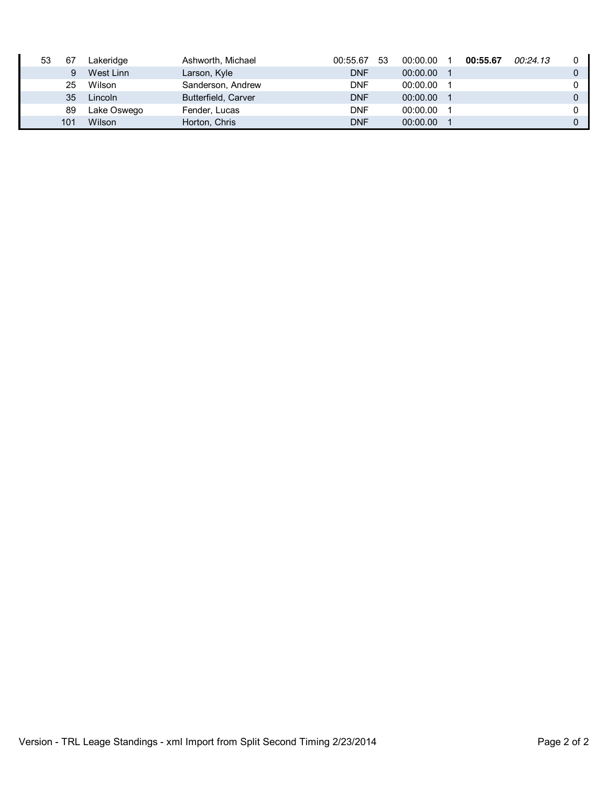| 53 | 67  | Lakeridge   | Ashworth, Michael   | 00:55.67   | 53 | 00:00.00 | 00:55.67 | 00:24.13 |  |
|----|-----|-------------|---------------------|------------|----|----------|----------|----------|--|
|    | 9   | West Linn   | Larson, Kyle        | <b>DNF</b> |    | 00:00.00 |          |          |  |
|    | 25  | Wilson      | Sanderson, Andrew   | <b>DNF</b> |    | 00:00.00 |          |          |  |
|    | 35  | Lincoln     | Butterfield, Carver | <b>DNF</b> |    | 00:00.00 |          |          |  |
|    | 89  | Lake Oswego | Fender, Lucas       | <b>DNF</b> |    | 00:00.00 |          |          |  |
|    | 101 | Wilson      | Horton, Chris       | <b>DNF</b> |    | 00:00.00 |          |          |  |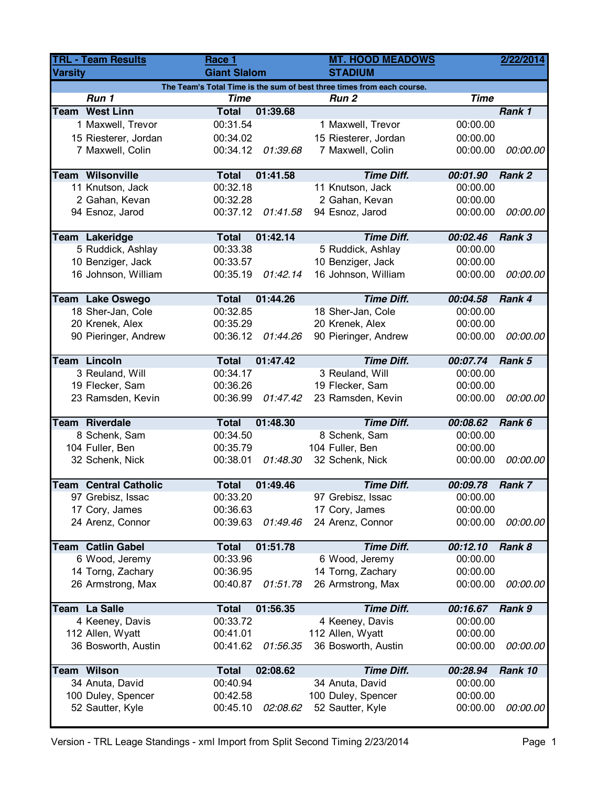| <b>TRL - Team Results</b> |                                      | Race 1               |          | <b>MT. HOOD MEADOWS</b>                                                |                      | 2/22/2014 |  |  |
|---------------------------|--------------------------------------|----------------------|----------|------------------------------------------------------------------------|----------------------|-----------|--|--|
| <b>Varsity</b>            |                                      | <b>Giant Slalom</b>  |          | <b>STADIUM</b>                                                         |                      |           |  |  |
|                           |                                      |                      |          | The Team's Total Time is the sum of best three times from each course. |                      |           |  |  |
|                           | Run 1                                | <b>Time</b>          |          | Run <sub>2</sub>                                                       | <b>Time</b>          |           |  |  |
|                           | <b>Team West Linn</b>                | <b>Total</b>         | 01:39.68 |                                                                        |                      | Rank 1    |  |  |
|                           | 1 Maxwell, Trevor                    | 00:31.54             |          | 1 Maxwell, Trevor                                                      | 00:00.00             |           |  |  |
|                           | 15 Riesterer, Jordan                 | 00:34.02             |          | 15 Riesterer, Jordan                                                   | 00:00.00             |           |  |  |
|                           | 7 Maxwell, Colin                     | 00:34.12             | 01:39.68 | 7 Maxwell, Colin                                                       | 00:00.00             | 00:00.00  |  |  |
|                           |                                      |                      |          |                                                                        |                      |           |  |  |
|                           | <b>Team Wilsonville</b>              | <b>Total</b>         | 01:41.58 | <b>Time Diff.</b>                                                      | 00:01.90             | Rank 2    |  |  |
|                           | 11 Knutson, Jack                     | 00:32.18             |          | 11 Knutson, Jack                                                       | 00:00.00             |           |  |  |
|                           | 2 Gahan, Kevan                       | 00:32.28             |          | 2 Gahan, Kevan                                                         | 00:00.00             |           |  |  |
|                           | 94 Esnoz, Jarod                      | 00:37.12             | 01:41.58 | 94 Esnoz, Jarod                                                        | 00:00.00             | 00:00.00  |  |  |
|                           | <b>Team Lakeridge</b>                | <b>Total</b>         | 01:42.14 | <b>Time Diff.</b>                                                      | 00:02.46             | Rank 3    |  |  |
|                           | 5 Ruddick, Ashlay                    | 00:33.38             |          | 5 Ruddick, Ashlay                                                      | 00:00.00             |           |  |  |
|                           | 10 Benziger, Jack                    | 00:33.57             |          | 10 Benziger, Jack                                                      | 00:00.00             |           |  |  |
|                           | 16 Johnson, William                  | 00:35.19             | 01:42.14 | 16 Johnson, William                                                    | 00:00.00             | 00:00.00  |  |  |
|                           |                                      |                      |          |                                                                        |                      |           |  |  |
|                           | Team Lake Oswego                     | <b>Total</b>         | 01:44.26 | <b>Time Diff.</b>                                                      | 00:04.58             | Rank 4    |  |  |
|                           | 18 Sher-Jan, Cole                    | 00:32.85             |          | 18 Sher-Jan, Cole                                                      | 00:00.00             |           |  |  |
|                           | 20 Krenek, Alex                      | 00:35.29             |          | 20 Krenek, Alex                                                        | 00:00.00             |           |  |  |
|                           | 90 Pieringer, Andrew                 | 00:36.12             | 01:44.26 | 90 Pieringer, Andrew                                                   | 00:00.00             | 00:00.00  |  |  |
|                           |                                      |                      |          |                                                                        |                      |           |  |  |
|                           | <b>Team Lincoln</b>                  | <b>Total</b>         | 01:47.42 | <b>Time Diff.</b>                                                      | 00:07.74             | Rank 5    |  |  |
|                           | 3 Reuland, Will                      | 00:34.17<br>00:36.26 |          | 3 Reuland, Will                                                        | 00:00.00<br>00:00.00 |           |  |  |
|                           | 19 Flecker, Sam<br>23 Ramsden, Kevin | 00:36.99             | 01:47.42 | 19 Flecker, Sam<br>23 Ramsden, Kevin                                   | 00:00.00             | 00:00.00  |  |  |
|                           |                                      |                      |          |                                                                        |                      |           |  |  |
|                           | <b>Team Riverdale</b>                | <b>Total</b>         | 01:48.30 | <b>Time Diff.</b>                                                      | 00:08.62             | Rank 6    |  |  |
|                           | 8 Schenk, Sam                        | 00:34.50             |          | 8 Schenk, Sam                                                          | 00:00.00             |           |  |  |
|                           | 104 Fuller, Ben                      | 00:35.79             |          | 104 Fuller, Ben                                                        | 00:00.00             |           |  |  |
|                           | 32 Schenk, Nick                      | 00:38.01             | 01:48.30 | 32 Schenk, Nick                                                        | 00:00.00             | 00:00.00  |  |  |
|                           |                                      |                      |          |                                                                        |                      |           |  |  |
|                           | <b>Team Central Catholic</b>         | <b>Total</b>         | 01:49.46 | <b>Time Diff.</b>                                                      | 00:09.78             | Rank 7    |  |  |
|                           | 97 Grebisz, Issac                    | 00:33.20             |          | 97 Grebisz, Issac                                                      | 00:00.00             |           |  |  |
|                           | 17 Cory, James                       | 00:36.63             |          | 17 Cory, James                                                         | 00:00.00             |           |  |  |
|                           | 24 Arenz, Connor                     | 00:39.63             | 01:49.46 | 24 Arenz, Connor                                                       | 00:00.00             | 00:00.00  |  |  |
|                           | <b>Team Catlin Gabel</b>             | <b>Total</b>         | 01:51.78 | <b>Time Diff.</b>                                                      | 00:12.10             | Rank 8    |  |  |
|                           | 6 Wood, Jeremy                       | 00:33.96             |          | 6 Wood, Jeremy                                                         | 00:00.00             |           |  |  |
|                           | 14 Torng, Zachary                    | 00:36.95             |          | 14 Torng, Zachary                                                      | 00:00.00             |           |  |  |
|                           | 26 Armstrong, Max                    | 00:40.87             | 01:51.78 | 26 Armstrong, Max                                                      | 00:00.00             | 00:00.00  |  |  |
|                           |                                      |                      |          |                                                                        |                      |           |  |  |
|                           | Team La Salle                        | <b>Total</b>         | 01:56.35 | <b>Time Diff.</b>                                                      | 00:16.67             | Rank 9    |  |  |
|                           | 4 Keeney, Davis                      | 00:33.72             |          | 4 Keeney, Davis                                                        | 00:00.00             |           |  |  |
|                           | 112 Allen, Wyatt                     | 00:41.01             |          | 112 Allen, Wyatt                                                       | 00:00.00             |           |  |  |
|                           | 36 Bosworth, Austin                  | 00:41.62             | 01:56.35 | 36 Bosworth, Austin                                                    | 00:00.00             | 00:00.00  |  |  |
|                           | <b>Team Wilson</b>                   | <b>Total</b>         | 02:08.62 | <b>Time Diff.</b>                                                      | 00:28.94             | Rank 10   |  |  |
|                           | 34 Anuta, David                      | 00:40.94             |          | 34 Anuta, David                                                        | 00:00.00             |           |  |  |
|                           | 100 Duley, Spencer                   | 00:42.58             |          | 100 Duley, Spencer                                                     | 00:00.00             |           |  |  |
|                           | 52 Sautter, Kyle                     | 00:45.10             | 02:08.62 | 52 Sautter, Kyle                                                       | 00:00.00             | 00:00.00  |  |  |
|                           |                                      |                      |          |                                                                        |                      |           |  |  |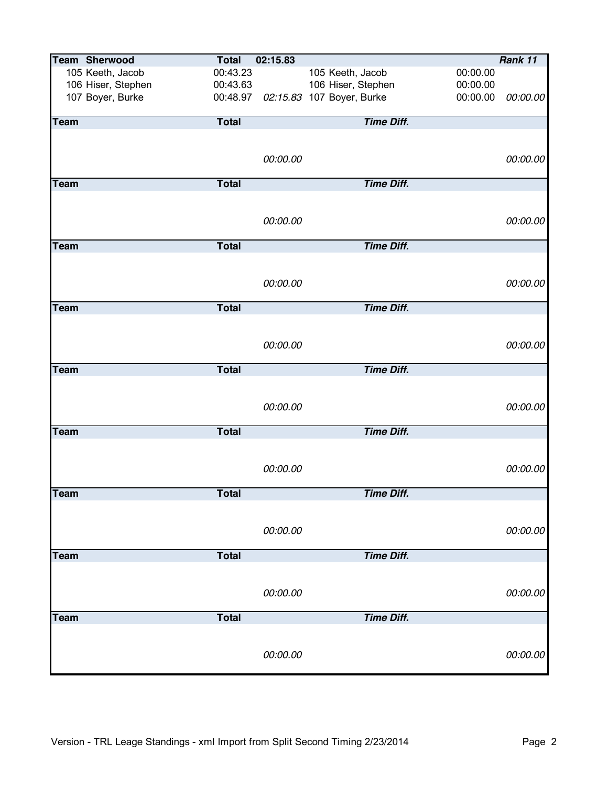|             | <b>Team Sherwood</b> | <b>Total</b> | 02:15.83 |                           |          | Rank 11  |
|-------------|----------------------|--------------|----------|---------------------------|----------|----------|
|             | 105 Keeth, Jacob     | 00:43.23     |          | 105 Keeth, Jacob          | 00:00.00 |          |
|             | 106 Hiser, Stephen   | 00:43.63     |          | 106 Hiser, Stephen        | 00:00.00 |          |
|             | 107 Boyer, Burke     | 00:48.97     |          | 02:15.83 107 Boyer, Burke | 00:00.00 | 00:00.00 |
|             |                      |              |          |                           |          |          |
| Team        |                      | <b>Total</b> |          | <b>Time Diff.</b>         |          |          |
|             |                      |              |          |                           |          |          |
|             |                      |              |          |                           |          |          |
|             |                      |              | 00:00.00 |                           |          | 00:00.00 |
| <b>Team</b> |                      | <b>Total</b> |          | <b>Time Diff.</b>         |          |          |
|             |                      |              |          |                           |          |          |
|             |                      |              |          |                           |          |          |
|             |                      |              | 00:00.00 |                           |          | 00:00.00 |
|             |                      |              |          |                           |          |          |
| Team        |                      | <b>Total</b> |          | <b>Time Diff.</b>         |          |          |
|             |                      |              |          |                           |          |          |
|             |                      |              |          |                           |          |          |
|             |                      |              | 00:00.00 |                           |          | 00:00.00 |
|             |                      |              |          |                           |          |          |
| <b>Team</b> |                      | <b>Total</b> |          | <b>Time Diff.</b>         |          |          |
|             |                      |              |          |                           |          |          |
|             |                      |              | 00:00.00 |                           |          |          |
|             |                      |              |          |                           |          | 00:00.00 |
| <b>Team</b> |                      | <b>Total</b> |          | <b>Time Diff.</b>         |          |          |
|             |                      |              |          |                           |          |          |
|             |                      |              |          |                           |          |          |
|             |                      |              | 00:00.00 |                           |          | 00:00.00 |
|             |                      |              |          |                           |          |          |
| <b>Team</b> |                      | <b>Total</b> |          | <b>Time Diff.</b>         |          |          |
|             |                      |              |          |                           |          |          |
|             |                      |              |          |                           |          |          |
|             |                      |              | 00:00.00 |                           |          | 00:00.00 |
| Team        |                      | <b>Total</b> |          | <b>Time Diff.</b>         |          |          |
|             |                      |              |          |                           |          |          |
|             |                      |              |          |                           |          |          |
|             |                      |              | 00:00.00 |                           |          | 00:00.00 |
|             |                      |              |          |                           |          |          |
| <b>Team</b> |                      | <b>Total</b> |          | <b>Time Diff.</b>         |          |          |
|             |                      |              |          |                           |          |          |
|             |                      |              |          |                           |          |          |
|             |                      |              | 00:00.00 |                           |          | 00:00.00 |
|             |                      |              |          | <b>Time Diff.</b>         |          |          |
| <b>Team</b> |                      | <b>Total</b> |          |                           |          |          |
|             |                      |              |          |                           |          |          |
|             |                      |              | 00:00.00 |                           |          | 00:00.00 |
|             |                      |              |          |                           |          |          |
|             |                      |              |          |                           |          |          |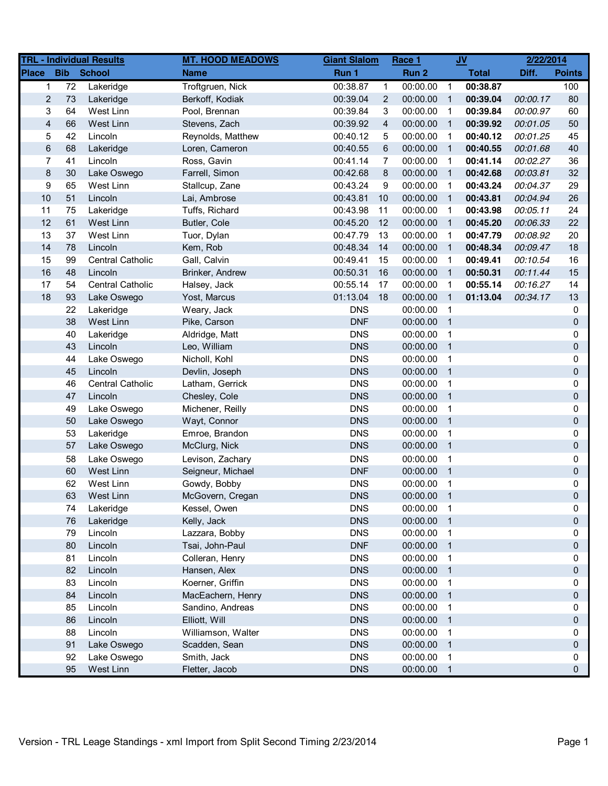|                         |                   | <b>TRL - Individual Results</b> | <b>MT. HOOD MEADOWS</b> | <b>Giant Slalom</b> |                | Race 1     |                            | $u$          | 2/22/2014 |               |
|-------------------------|-------------------|---------------------------------|-------------------------|---------------------|----------------|------------|----------------------------|--------------|-----------|---------------|
| <b>Place</b>            | <b>Bib</b> School |                                 | <b>Name</b>             | Run 1               |                | Run 2      |                            | <b>Total</b> | Diff.     | <b>Points</b> |
| $\mathbf{1}$            | 72                | Lakeridge                       | Troftgruen, Nick        | 00:38.87            | $\mathbf{1}$   | 00:00.00   | $\overline{1}$             | 00:38.87     |           | 100           |
| $\overline{2}$          | 73                | Lakeridge                       | Berkoff, Kodiak         | 00:39.04            | $\overline{2}$ | 00:00.00   | $\overline{1}$             | 00:39.04     | 00:00.17  | 80            |
| 3                       | 64                | West Linn                       | Pool, Brennan           | 00:39.84            | 3              | 00:00.00   | $\overline{1}$             | 00:39.84     | 00:00.97  | 60            |
| $\overline{\mathbf{4}}$ | 66                | West Linn                       | Stevens, Zach           | 00:39.92            | 4              | 00:00.00   | $\overline{1}$             | 00:39.92     | 00:01.05  | 50            |
| 5                       | 42                | Lincoln                         | Reynolds, Matthew       | 00:40.12            | 5              | 00:00.00   | $\overline{1}$             | 00:40.12     | 00:01.25  | 45            |
| $\,6$                   | 68                | Lakeridge                       | Loren, Cameron          | 00:40.55            | 6              | 00:00.00   | $\overline{1}$             | 00:40.55     | 00:01.68  | 40            |
| 7                       | 41                | Lincoln                         | Ross, Gavin             | 00:41.14            | $\overline{7}$ | 00:00.00   | $\overline{\phantom{1}}$   | 00:41.14     | 00:02.27  | 36            |
| $\bf 8$                 | 30                | Lake Oswego                     | Farrell, Simon          | 00:42.68            | 8              | 00:00.00   | $\overline{1}$             | 00:42.68     | 00:03.81  | 32            |
| 9                       | 65                | West Linn                       | Stallcup, Zane          | 00:43.24            | 9              | 00:00.00   | $\overline{1}$             | 00:43.24     | 00:04.37  | 29            |
| 10                      | 51                | Lincoln                         | Lai, Ambrose            | 00:43.81            | 10             | 00:00.00   | $\overline{1}$             | 00:43.81     | 00:04.94  | 26            |
| 11                      | 75                | Lakeridge                       | Tuffs, Richard          | 00:43.98            | 11             | 00:00.00   | $\overline{1}$             | 00:43.98     | 00:05.11  | 24            |
| 12                      | 61                | West Linn                       | Butler, Cole            | 00:45.20            | 12             | 00:00.00   | $\overline{1}$             | 00:45.20     | 00:06.33  | 22            |
| 13                      | 37                | West Linn                       | Tuor, Dylan             | 00:47.79            | 13             | 00:00.00   | $\overline{1}$             | 00:47.79     | 00:08.92  | 20            |
| 14                      | 78                | Lincoln                         | Kem, Rob                | 00:48.34            | 14             | 00:00.00   | $\overline{1}$             | 00:48.34     | 00:09.47  | 18            |
| 15                      | 99                | Central Catholic                | Gall, Calvin            | 00:49.41            | 15             | 00:00.00   | $\overline{1}$             | 00:49.41     | 00:10.54  | 16            |
| 16                      | 48                | Lincoln                         | Brinker, Andrew         | 00:50.31            | 16             | 00:00.00   | $\overline{1}$             | 00:50.31     | 00:11.44  | 15            |
| 17                      | 54                | <b>Central Catholic</b>         | Halsey, Jack            | 00:55.14            | 17             | 00:00.00   | $\overline{1}$             | 00:55.14     | 00:16.27  | 14            |
| 18                      | 93                | Lake Oswego                     | Yost, Marcus            | 01:13.04            | 18             | 00:00.00   | $\overline{1}$             | 01:13.04     | 00:34.17  | 13            |
|                         | 22                | Lakeridge                       | Weary, Jack             | <b>DNS</b>          |                | 00:00.00   | $\overline{1}$             |              |           | 0             |
|                         | 38                | West Linn                       | Pike, Carson            | <b>DNF</b>          |                | 00:00.00   | $\overline{\phantom{0}}$ 1 |              |           | 0             |
|                         | 40                | Lakeridge                       | Aldridge, Matt          | <b>DNS</b>          |                | 00:00.00   | $\overline{\phantom{0}}$ 1 |              |           | 0             |
|                         | 43                | Lincoln                         | Leo, William            | <b>DNS</b>          |                | 00:00.00   | $\overline{\phantom{0}}$ 1 |              |           | 0             |
|                         | 44                | Lake Oswego                     | Nicholl, Kohl           | <b>DNS</b>          |                | 00:00.00   | $\overline{\mathbf{1}}$    |              |           | 0             |
|                         | 45                | Lincoln                         | Devlin, Joseph          | <b>DNS</b>          |                | 00:00.00   | $\overline{1}$             |              |           | 0             |
|                         | 46                | <b>Central Catholic</b>         | Latham, Gerrick         | <b>DNS</b>          |                | 00:00.00   | $\overline{\mathbf{1}}$    |              |           | 0             |
|                         | 47                | Lincoln                         | Chesley, Cole           | <b>DNS</b>          |                | 00:00.00   | $\overline{1}$             |              |           | 0             |
|                         | 49                | Lake Oswego                     | Michener, Reilly        | <b>DNS</b>          |                | 00:00.00   | $\overline{\phantom{1}}$   |              |           | 0             |
|                         | 50                | Lake Oswego                     | Wayt, Connor            | <b>DNS</b>          |                | 00:00.00   | $\overline{\phantom{0}}$ 1 |              |           | 0             |
|                         | 53                | Lakeridge                       | Emroe, Brandon          | <b>DNS</b>          |                | 00:00.00   | $\overline{1}$             |              |           | 0             |
|                         | 57                | Lake Oswego                     | McClurg, Nick           | <b>DNS</b>          |                | 00:00.00   | $\overline{1}$             |              |           | 0             |
|                         | 58                | Lake Oswego                     | Levison, Zachary        | <b>DNS</b>          |                | 00:00.00   | $\overline{\phantom{0}}$ 1 |              |           | 0             |
|                         | 60                | West Linn                       | Seigneur, Michael       | <b>DNF</b>          |                | 00:00.00   | $\overline{\phantom{0}}$ 1 |              |           | 0             |
|                         | 62                | West Linn                       | Gowdy, Bobby            | <b>DNS</b>          |                | 00:00.00   | $\overline{1}$             |              |           | 0             |
|                         | 63                | West Linn                       | McGovern, Cregan        | <b>DNS</b>          |                | 00:00.00   | $\overline{1}$             |              |           | $\mathbf{0}$  |
|                         | 74                | Lakeridge                       | Kessel, Owen            | <b>DNS</b>          |                | 00:00.00 1 |                            |              |           | 0             |
|                         | 76                | Lakeridge                       | Kelly, Jack             | <b>DNS</b>          |                | 00:00.00 1 |                            |              |           | 0             |
|                         | 79                | Lincoln                         | Lazzara, Bobby          | <b>DNS</b>          |                | 00:00.00 1 |                            |              |           | 0             |
|                         | 80                | Lincoln                         | Tsai, John-Paul         | <b>DNF</b>          |                | 00:00.00 1 |                            |              |           | 0             |
|                         | 81                | Lincoln                         | Colleran, Henry         | <b>DNS</b>          |                | 00:00.00 1 |                            |              |           | 0             |
|                         | 82                | Lincoln                         | Hansen, Alex            | <b>DNS</b>          |                | 00:00.00   | $\overline{\phantom{0}}$ 1 |              |           | 0             |
|                         | 83                | Lincoln                         | Koerner, Griffin        | <b>DNS</b>          |                | 00:00.00   | $\overline{1}$             |              |           | 0             |
|                         | 84                | Lincoln                         | MacEachern, Henry       | <b>DNS</b>          |                | 00:00.00 1 |                            |              |           | 0             |
|                         | 85                | Lincoln                         | Sandino, Andreas        | <b>DNS</b>          |                | 00:00.00 1 |                            |              |           | 0             |
|                         | 86                | Lincoln                         | Elliott, Will           | <b>DNS</b>          |                | 00:00.00 1 |                            |              |           | 0             |
|                         | 88                | Lincoln                         | Williamson, Walter      | <b>DNS</b>          |                | 00:00.00 1 |                            |              |           | 0             |
|                         | 91                | Lake Oswego                     | Scadden, Sean           | <b>DNS</b>          |                | 00:00.00   | $\overline{1}$             |              |           | $\mathbf 0$   |
|                         | 92                | Lake Oswego                     | Smith, Jack             | <b>DNS</b>          |                | 00:00.00   | $\overline{\mathbf{1}}$    |              |           | 0             |
|                         | 95                | West Linn                       | Fletter, Jacob          | <b>DNS</b>          |                | 00:00.00   | $\overline{1}$             |              |           | $\mathbf 0$   |